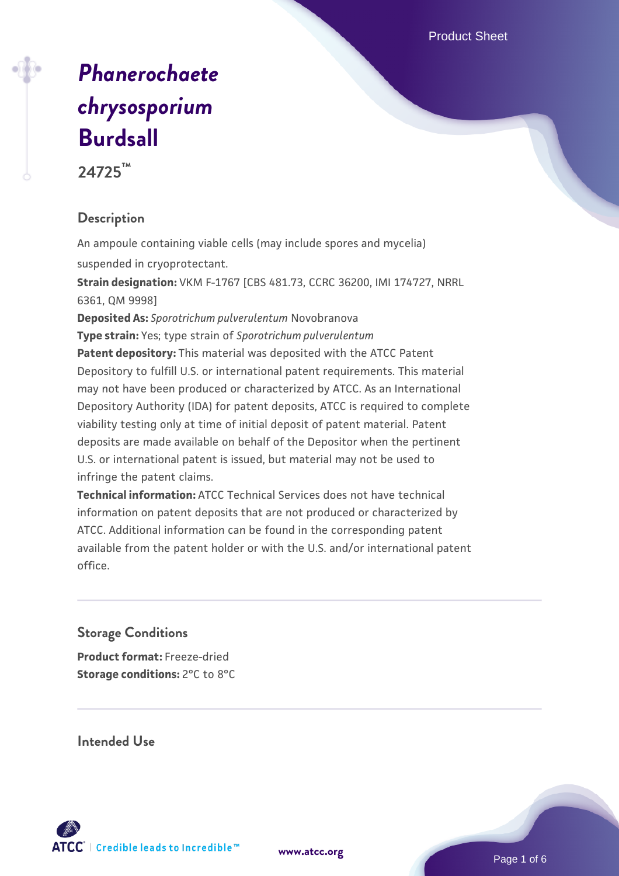# *[Phanerochaete](https://www.atcc.org/products/24725) [chrysosporium](https://www.atcc.org/products/24725)* **[Burdsall](https://www.atcc.org/products/24725)**

**24725™**

# **Description**

An ampoule containing viable cells (may include spores and mycelia) suspended in cryoprotectant.

**Strain designation:** VKM F-1767 [CBS 481.73, CCRC 36200, IMI 174727, NRRL 6361, QM 9998]

**Deposited As:** *Sporotrichum pulverulentum* Novobranova

**Type strain:** Yes; type strain of *Sporotrichum pulverulentum*

**Patent depository:** This material was deposited with the ATCC Patent Depository to fulfill U.S. or international patent requirements. This material may not have been produced or characterized by ATCC. As an International Depository Authority (IDA) for patent deposits, ATCC is required to complete viability testing only at time of initial deposit of patent material. Patent deposits are made available on behalf of the Depositor when the pertinent U.S. or international patent is issued, but material may not be used to infringe the patent claims.

**Technical information:** ATCC Technical Services does not have technical information on patent deposits that are not produced or characterized by ATCC. Additional information can be found in the corresponding patent available from the patent holder or with the U.S. and/or international patent office.

## **Storage Conditions**

**Product format:** Freeze-dried **Storage conditions:** 2°C to 8°C

**Intended Use**

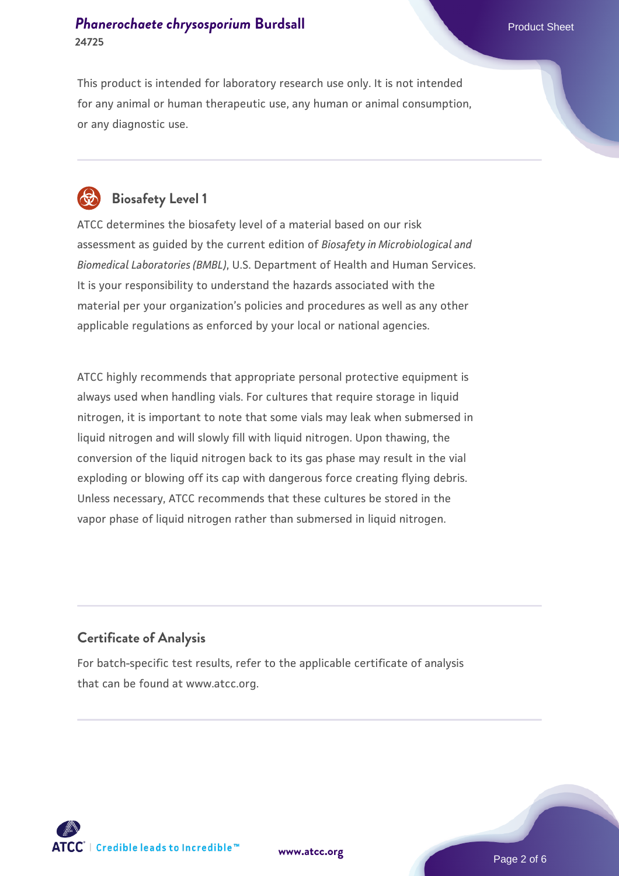## **[Phanerochaete chrysosporium](https://www.atcc.org/products/24725) [Burdsall](https://www.atcc.org/products/24725)** Phanerochaete chrysosporium Burdsall Product Sheet **24725**

This product is intended for laboratory research use only. It is not intended for any animal or human therapeutic use, any human or animal consumption, or any diagnostic use.



# **Biosafety Level 1**

ATCC determines the biosafety level of a material based on our risk assessment as guided by the current edition of *Biosafety in Microbiological and Biomedical Laboratories (BMBL)*, U.S. Department of Health and Human Services. It is your responsibility to understand the hazards associated with the material per your organization's policies and procedures as well as any other applicable regulations as enforced by your local or national agencies.

ATCC highly recommends that appropriate personal protective equipment is always used when handling vials. For cultures that require storage in liquid nitrogen, it is important to note that some vials may leak when submersed in liquid nitrogen and will slowly fill with liquid nitrogen. Upon thawing, the conversion of the liquid nitrogen back to its gas phase may result in the vial exploding or blowing off its cap with dangerous force creating flying debris. Unless necessary, ATCC recommends that these cultures be stored in the vapor phase of liquid nitrogen rather than submersed in liquid nitrogen.

## **Certificate of Analysis**

For batch-specific test results, refer to the applicable certificate of analysis that can be found at www.atcc.org.

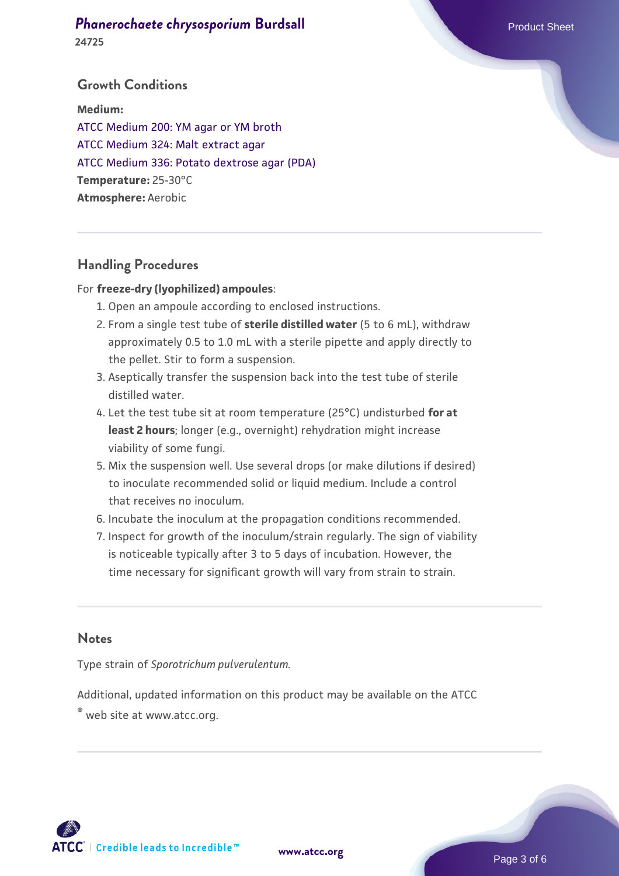#### **[Phanerochaete chrysosporium](https://www.atcc.org/products/24725) [Burdsall](https://www.atcc.org/products/24725)** Phanerochaete chrysosporium Burdsall Product Sheet **24725**

### **Growth Conditions**

**Medium:**  [ATCC Medium 200: YM agar or YM broth](https://www.atcc.org/-/media/product-assets/documents/microbial-media-formulations/2/0/0/atcc-medium-200.pdf?rev=ac40fd74dc13433a809367b0b9da30fc) [ATCC Medium 324: Malt extract agar](https://www.atcc.org/-/media/product-assets/documents/microbial-media-formulations/3/2/4/atcc-medium-324.pdf?rev=5a8b3f6dcb23452d9462ec38b36f0bb6) [ATCC Medium 336: Potato dextrose agar \(PDA\)](https://www.atcc.org/-/media/product-assets/documents/microbial-media-formulations/3/3/6/atcc-medium-336.pdf?rev=d9160ad44d934cd8b65175461abbf3b9) **Temperature:** 25-30°C **Atmosphere:** Aerobic

### **Handling Procedures**

#### For **freeze-dry (lyophilized) ampoules**:

- 1. Open an ampoule according to enclosed instructions.
- 2. From a single test tube of **sterile distilled water** (5 to 6 mL), withdraw approximately 0.5 to 1.0 mL with a sterile pipette and apply directly to the pellet. Stir to form a suspension.
- Aseptically transfer the suspension back into the test tube of sterile 3. distilled water.
- Let the test tube sit at room temperature (25°C) undisturbed **for at** 4. **least 2 hours**; longer (e.g., overnight) rehydration might increase viability of some fungi.
- Mix the suspension well. Use several drops (or make dilutions if desired) 5. to inoculate recommended solid or liquid medium. Include a control that receives no inoculum.
- 6. Incubate the inoculum at the propagation conditions recommended.
- 7. Inspect for growth of the inoculum/strain regularly. The sign of viability is noticeable typically after 3 to 5 days of incubation. However, the time necessary for significant growth will vary from strain to strain.

#### **Notes**

Type strain of *Sporotrichum pulverulentum.*

Additional, updated information on this product may be available on the ATCC

® web site at www.atcc.org.

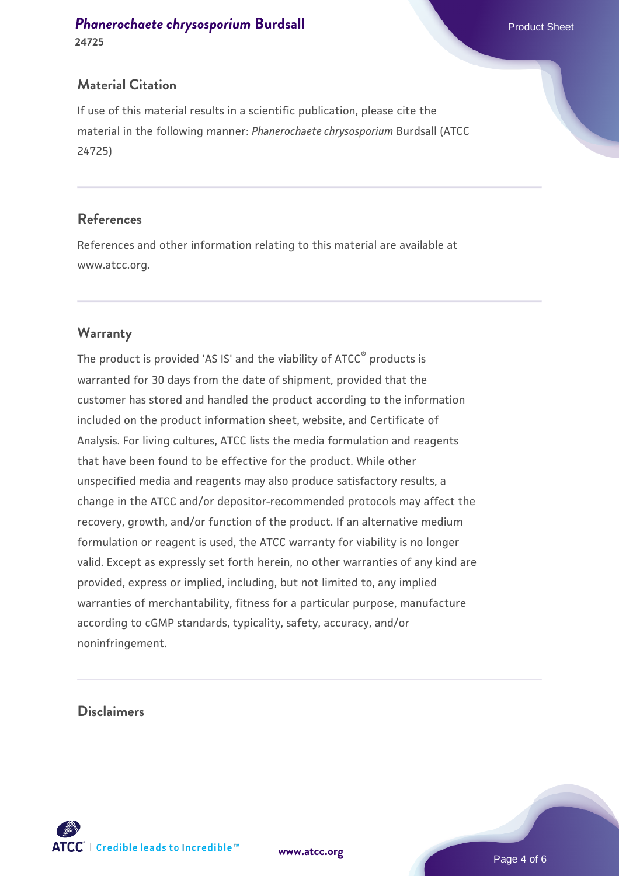#### **[Phanerochaete chrysosporium](https://www.atcc.org/products/24725) [Burdsall](https://www.atcc.org/products/24725)** Phanerochaete chrysosporium Burdsall Product Sheet **24725**

## **Material Citation**

If use of this material results in a scientific publication, please cite the material in the following manner: *Phanerochaete chrysosporium* Burdsall (ATCC 24725)

#### **References**

References and other information relating to this material are available at www.atcc.org.

## **Warranty**

The product is provided 'AS IS' and the viability of ATCC® products is warranted for 30 days from the date of shipment, provided that the customer has stored and handled the product according to the information included on the product information sheet, website, and Certificate of Analysis. For living cultures, ATCC lists the media formulation and reagents that have been found to be effective for the product. While other unspecified media and reagents may also produce satisfactory results, a change in the ATCC and/or depositor-recommended protocols may affect the recovery, growth, and/or function of the product. If an alternative medium formulation or reagent is used, the ATCC warranty for viability is no longer valid. Except as expressly set forth herein, no other warranties of any kind are provided, express or implied, including, but not limited to, any implied warranties of merchantability, fitness for a particular purpose, manufacture according to cGMP standards, typicality, safety, accuracy, and/or noninfringement.

#### **Disclaimers**



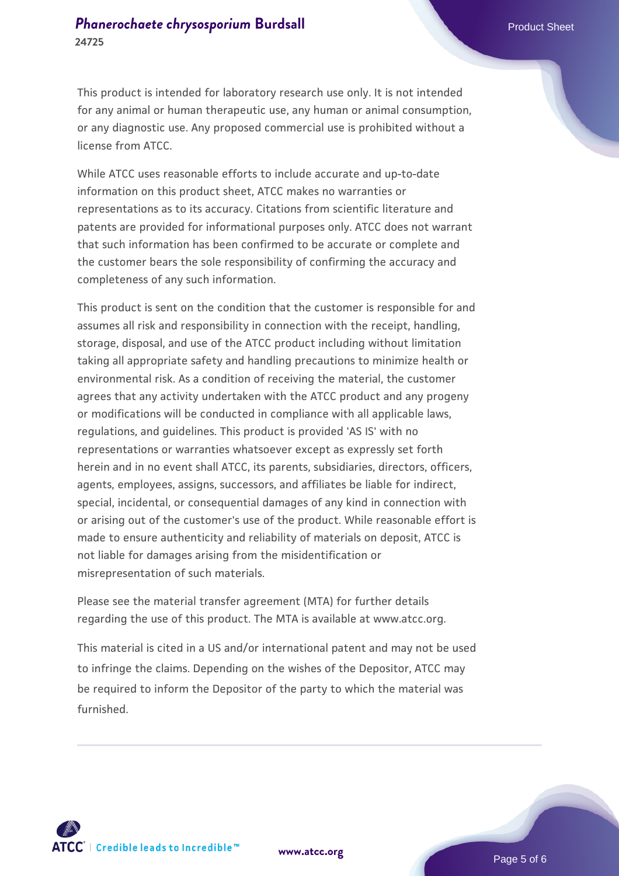## **[Phanerochaete chrysosporium](https://www.atcc.org/products/24725) [Burdsall](https://www.atcc.org/products/24725)** Phanerochaete Chrysosporium Burdsall Product Sheet **24725**

This product is intended for laboratory research use only. It is not intended for any animal or human therapeutic use, any human or animal consumption, or any diagnostic use. Any proposed commercial use is prohibited without a license from ATCC.

While ATCC uses reasonable efforts to include accurate and up-to-date information on this product sheet, ATCC makes no warranties or representations as to its accuracy. Citations from scientific literature and patents are provided for informational purposes only. ATCC does not warrant that such information has been confirmed to be accurate or complete and the customer bears the sole responsibility of confirming the accuracy and completeness of any such information.

This product is sent on the condition that the customer is responsible for and assumes all risk and responsibility in connection with the receipt, handling, storage, disposal, and use of the ATCC product including without limitation taking all appropriate safety and handling precautions to minimize health or environmental risk. As a condition of receiving the material, the customer agrees that any activity undertaken with the ATCC product and any progeny or modifications will be conducted in compliance with all applicable laws, regulations, and guidelines. This product is provided 'AS IS' with no representations or warranties whatsoever except as expressly set forth herein and in no event shall ATCC, its parents, subsidiaries, directors, officers, agents, employees, assigns, successors, and affiliates be liable for indirect, special, incidental, or consequential damages of any kind in connection with or arising out of the customer's use of the product. While reasonable effort is made to ensure authenticity and reliability of materials on deposit, ATCC is not liable for damages arising from the misidentification or misrepresentation of such materials.

Please see the material transfer agreement (MTA) for further details regarding the use of this product. The MTA is available at www.atcc.org.

This material is cited in a US and/or international patent and may not be used to infringe the claims. Depending on the wishes of the Depositor, ATCC may be required to inform the Depositor of the party to which the material was furnished.



**[www.atcc.org](http://www.atcc.org)**

Page 5 of 6